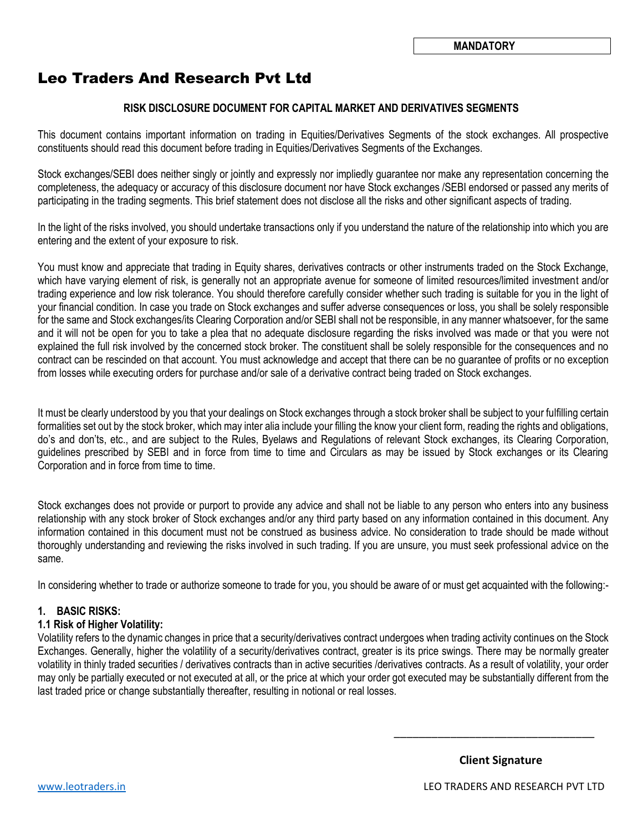# Leo Traders And Research Pvt Ltd

#### **RISK DISCLOSURE DOCUMENT FOR CAPITAL MARKET AND DERIVATIVES SEGMENTS**

This document contains important information on trading in Equities/Derivatives Segments of the stock exchanges. All prospective constituents should read this document before trading in Equities/Derivatives Segments of the Exchanges.

Stock exchanges/SEBI does neither singly or jointly and expressly nor impliedly guarantee nor make any representation concerning the completeness, the adequacy or accuracy of this disclosure document nor have Stock exchanges /SEBI endorsed or passed any merits of participating in the trading segments. This brief statement does not disclose all the risks and other significant aspects of trading.

In the light of the risks involved, you should undertake transactions only if you understand the nature of the relationship into which you are entering and the extent of your exposure to risk.

You must know and appreciate that trading in Equity shares, derivatives contracts or other instruments traded on the Stock Exchange, which have varying element of risk, is generally not an appropriate avenue for someone of limited resources/limited investment and/or trading experience and low risk tolerance. You should therefore carefully consider whether such trading is suitable for you in the light of your financial condition. In case you trade on Stock exchanges and suffer adverse consequences or loss, you shall be solely responsible for the same and Stock exchanges/its Clearing Corporation and/or SEBI shall not be responsible, in any manner whatsoever, for the same and it will not be open for you to take a plea that no adequate disclosure regarding the risks involved was made or that you were not explained the full risk involved by the concerned stock broker. The constituent shall be solely responsible for the consequences and no contract can be rescinded on that account. You must acknowledge and accept that there can be no guarantee of profits or no exception from losses while executing orders for purchase and/or sale of a derivative contract being traded on Stock exchanges.

It must be clearly understood by you that your dealings on Stock exchanges through a stock broker shall be subject to your fulfilling certain formalities set out by the stock broker, which may inter alia include your filling the know your client form, reading the rights and obligations, do's and don'ts, etc., and are subject to the Rules, Byelaws and Regulations of relevant Stock exchanges, its Clearing Corporation, guidelines prescribed by SEBI and in force from time to time and Circulars as may be issued by Stock exchanges or its Clearing Corporation and in force from time to time.

Stock exchanges does not provide or purport to provide any advice and shall not be liable to any person who enters into any business relationship with any stock broker of Stock exchanges and/or any third party based on any information contained in this document. Any information contained in this document must not be construed as business advice. No consideration to trade should be made without thoroughly understanding and reviewing the risks involved in such trading. If you are unsure, you must seek professional advice on the same.

In considering whether to trade or authorize someone to trade for you, you should be aware of or must get acquainted with the following:-

#### **1. BASIC RISKS:**

#### **1.1 Risk of Higher Volatility:**

Volatility refers to the dynamic changes in price that a security/derivatives contract undergoes when trading activity continues on the Stock Exchanges. Generally, higher the volatility of a security/derivatives contract, greater is its price swings. There may be normally greater volatility in thinly traded securities / derivatives contracts than in active securities /derivatives contracts. As a result of volatility, your order may only be partially executed or not executed at all, or the price at which your order got executed may be substantially different from the last traded price or change substantially thereafter, resulting in notional or real losses.

 $\overline{\phantom{a}}$   $\overline{\phantom{a}}$   $\overline{\phantom{a}}$   $\overline{\phantom{a}}$   $\overline{\phantom{a}}$   $\overline{\phantom{a}}$   $\overline{\phantom{a}}$   $\overline{\phantom{a}}$   $\overline{\phantom{a}}$   $\overline{\phantom{a}}$   $\overline{\phantom{a}}$   $\overline{\phantom{a}}$   $\overline{\phantom{a}}$   $\overline{\phantom{a}}$   $\overline{\phantom{a}}$   $\overline{\phantom{a}}$   $\overline{\phantom{a}}$   $\overline{\phantom{a}}$   $\overline{\$ 

 **Client Signature**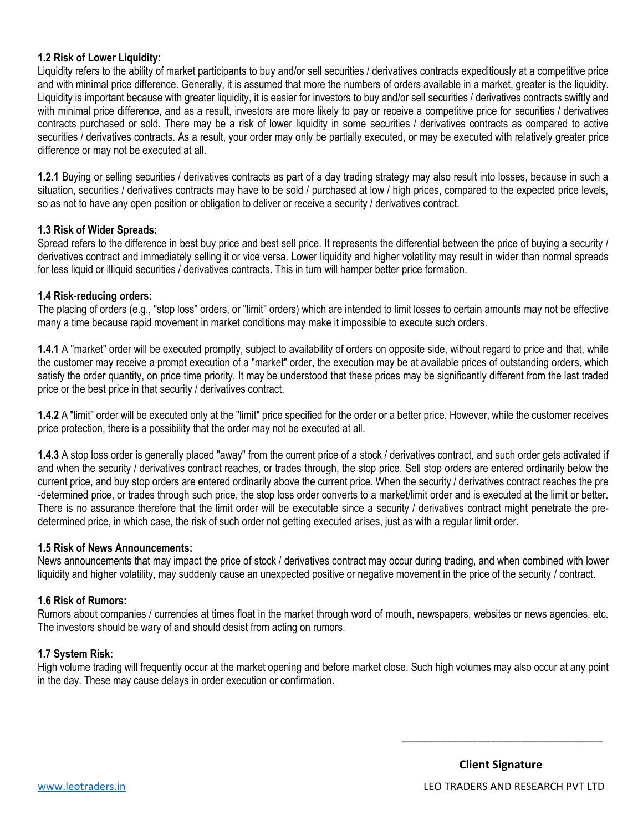#### **1.2 Risk of Lower Liquidity:**

Liquidity refers to the ability of market participants to buy and/or sell securities / derivatives contracts expeditiously at a competitive price and with minimal price difference. Generally, it is assumed that more the numbers of orders available in a market, greater is the liquidity. Liquidity is important because with greater liquidity, it is easier for investors to buy and/or sell securities / derivatives contracts swiftly and with minimal price difference, and as a result, investors are more likely to pay or receive a competitive price for securities / derivatives contracts purchased or sold. There may be a risk of lower liquidity in some securities / derivatives contracts as compared to active securities / derivatives contracts. As a result, your order may only be partially executed, or may be executed with relatively greater price difference or may not be executed at all.

**1.2.1** Buying or selling securities / derivatives contracts as part of a day trading strategy may also result into losses, because in such a situation, securities / derivatives contracts may have to be sold / purchased at low / high prices, compared to the expected price levels, so as not to have any open position or obligation to deliver or receive a security / derivatives contract.

#### **1.3 Risk of Wider Spreads:**

Spread refers to the difference in best buy price and best sell price. It represents the differential between the price of buying a security / derivatives contract and immediately selling it or vice versa. Lower liquidity and higher volatility may result in wider than normal spreads for less liquid or illiquid securities / derivatives contracts. This in turn will hamper better price formation.

#### **1.4 Risk-reducing orders:**

The placing of orders (e.g., "stop loss" orders, or "limit" orders) which are intended to limit losses to certain amounts may not be effective many a time because rapid movement in market conditions may make it impossible to execute such orders.

**1.4.1** A "market" order will be executed promptly, subject to availability of orders on opposite side, without regard to price and that, while the customer may receive a prompt execution of a "market" order, the execution may be at available prices of outstanding orders, which satisfy the order quantity, on price time priority. It may be understood that these prices may be significantly different from the last traded price or the best price in that security / derivatives contract.

**1.4.2** A "limit" order will be executed only at the "limit" price specified for the order or a better price. However, while the customer receives price protection, there is a possibility that the order may not be executed at all.

**1.4.3** A stop loss order is generally placed "away" from the current price of a stock / derivatives contract, and such order gets activated if and when the security / derivatives contract reaches, or trades through, the stop price. Sell stop orders are entered ordinarily below the current price, and buy stop orders are entered ordinarily above the current price. When the security / derivatives contract reaches the pre -determined price, or trades through such price, the stop loss order converts to a market/limit order and is executed at the limit or better. There is no assurance therefore that the limit order will be executable since a security / derivatives contract might penetrate the predetermined price, in which case, the risk of such order not getting executed arises, just as with a regular limit order.

#### **1.5 Risk of News Announcements:**

News announcements that may impact the price of stock / derivatives contract may occur during trading, and when combined with lower liquidity and higher volatility, may suddenly cause an unexpected positive or negative movement in the price of the security / contract.

#### **1.6 Risk of Rumors:**

Rumors about companies / currencies at times float in the market through word of mouth, newspapers, websites or news agencies, etc. The investors should be wary of and should desist from acting on rumors.

#### **1.7 System Risk:**

High volume trading will frequently occur at the market opening and before market close. Such high volumes may also occur at any point in the day. These may cause delays in order execution or confirmation.

\_\_\_\_\_\_\_\_\_\_\_\_\_\_\_\_\_\_\_\_\_\_\_\_\_\_\_\_\_\_\_\_

 **Client Signature**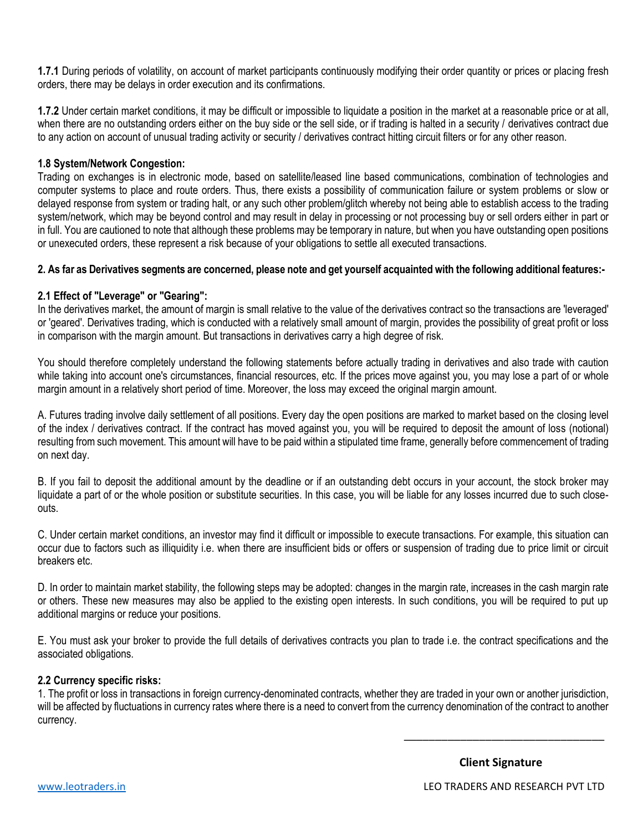**1.7.1** During periods of volatility, on account of market participants continuously modifying their order quantity or prices or placing fresh orders, there may be delays in order execution and its confirmations.

**1.7.2** Under certain market conditions, it may be difficult or impossible to liquidate a position in the market at a reasonable price or at all, when there are no outstanding orders either on the buy side or the sell side, or if trading is halted in a security / derivatives contract due to any action on account of unusual trading activity or security / derivatives contract hitting circuit filters or for any other reason.

#### **1.8 System/Network Congestion:**

Trading on exchanges is in electronic mode, based on satellite/leased line based communications, combination of technologies and computer systems to place and route orders. Thus, there exists a possibility of communication failure or system problems or slow or delayed response from system or trading halt, or any such other problem/glitch whereby not being able to establish access to the trading system/network, which may be beyond control and may result in delay in processing or not processing buy or sell orders either in part or in full. You are cautioned to note that although these problems may be temporary in nature, but when you have outstanding open positions or unexecuted orders, these represent a risk because of your obligations to settle all executed transactions.

#### **2. As far as Derivatives segments are concerned, please note and get yourself acquainted with the following additional features:-**

## **2.1 Effect of "Leverage" or "Gearing":**

In the derivatives market, the amount of margin is small relative to the value of the derivatives contract so the transactions are 'leveraged' or 'geared'. Derivatives trading, which is conducted with a relatively small amount of margin, provides the possibility of great profit or loss in comparison with the margin amount. But transactions in derivatives carry a high degree of risk.

You should therefore completely understand the following statements before actually trading in derivatives and also trade with caution while taking into account one's circumstances, financial resources, etc. If the prices move against you, you may lose a part of or whole margin amount in a relatively short period of time. Moreover, the loss may exceed the original margin amount.

A. Futures trading involve daily settlement of all positions. Every day the open positions are marked to market based on the closing level of the index / derivatives contract. If the contract has moved against you, you will be required to deposit the amount of loss (notional) resulting from such movement. This amount will have to be paid within a stipulated time frame, generally before commencement of trading on next day.

B. If you fail to deposit the additional amount by the deadline or if an outstanding debt occurs in your account, the stock broker may liquidate a part of or the whole position or substitute securities. In this case, you will be liable for any losses incurred due to such closeouts.

C. Under certain market conditions, an investor may find it difficult or impossible to execute transactions. For example, this situation can occur due to factors such as illiquidity i.e. when there are insufficient bids or offers or suspension of trading due to price limit or circuit breakers etc.

D. In order to maintain market stability, the following steps may be adopted: changes in the margin rate, increases in the cash margin rate or others. These new measures may also be applied to the existing open interests. In such conditions, you will be required to put up additional margins or reduce your positions.

E. You must ask your broker to provide the full details of derivatives contracts you plan to trade i.e. the contract specifications and the associated obligations.

#### **2.2 Currency specific risks:**

1. The profit or loss in transactions in foreign currency-denominated contracts, whether they are traded in your own or another jurisdiction, will be affected by fluctuations in currency rates where there is a need to convert from the currency denomination of the contract to another currency.

\_\_\_\_\_\_\_\_\_\_\_\_\_\_\_\_\_\_\_\_\_\_\_\_\_\_\_\_\_\_\_\_